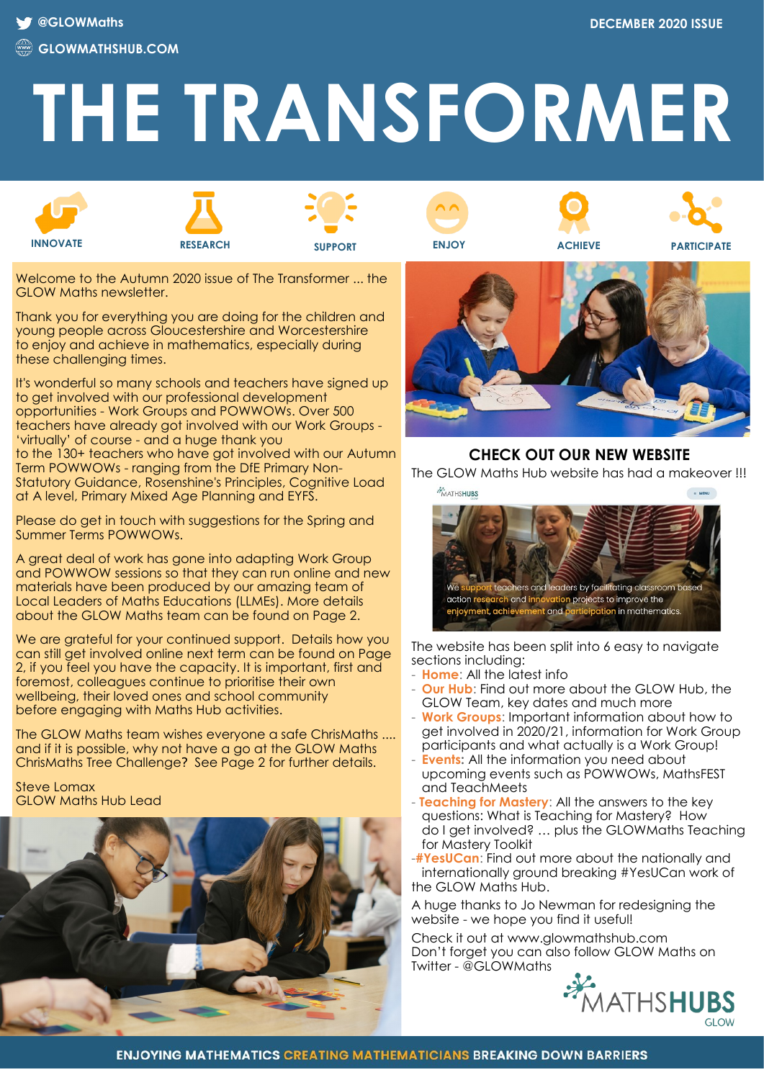# **THE TRANSFORMER**











**INNOVATE RESEARCH SUPPORT ENJOY ACHIEVE PARTICIPATE**

Welcome to the Autumn 2020 issue of The Transformer ... the GLOW Maths newsletter

Thank you for everything you are doing for the children and young people across Gloucestershire and Worcestershire to enjoy and achieve in mathematics, especially during these challenging times.

It's wonderful so many schools and teachers have signed up to get involved with our professional development opportunities - Work Groups and POWWOWs. Over 500 teachers have already got involved with our Work Groups - 'virtually' of course - and a huge thank you to the 130+ teachers who have got involved with our Autumn Term POWWOWs - ranging from the DfE Primary Non-Statutory Guidance, Rosenshine's Principles, Cognitive Load at A level, Primary Mixed Age Planning and EYFS.

Please do get in touch with suggestions for the Spring and Summer Terms POWWOWs.

A great deal of work has gone into adapting Work Group and POWWOW sessions so that they can run online and new materials have been produced by our amazing team of Local Leaders of Maths Educations (LLMEs). More details about the GLOW Maths team can be found on Page 2.

We are grateful for your continued support. Details how you can still get involved online next term can be found on Page 2, if you feel you have the capacity. It is important, first and foremost, colleagues continue to prioritise their own wellbeing, their loved ones and school community before engaging with Maths Hub activities.

The GLOW Maths team wishes everyone a safe ChrisMaths .... and if it is possible, why not have a go at the GLOW Maths ChrisMaths Tree Challenge? See Page 2 for further details.

Steve Lomax GLOW Maths Hub Lead





## **CHECK OUT OUR NEW WEBSITE**

The GLOW Maths Hub website has had a makeover !!!



The website has been split into 6 easy to navigate sections including:

- **Home**: All the latest info
- **Our Hub**: Find out more about the GLOW Hub, the GLOW Team, key dates and much more
- **Work Groups:** Important information about how to get involved in 2020/21, information for Work Group participants and what actually is a Work Group!
- **Events:** All the information you need about upcoming events such as POWWOWs, MathsFEST and TeachMeets
- **Teaching for Mastery**: All the answers to the key questions: What is Teaching for Mastery? How do I get involved? … plus the GLOWMaths Teaching for Mastery Toolkit
- -**#YesUCan**: Find out more about the nationally and internationally ground breaking #YesUCan work of the GLOW Maths Hub.

A huge thanks to Jo Newman for redesigning the website - we hope you find it useful!

Check it out at www.glowmathshub.com Don't forget you can also follow GLOW Maths on Twitter - @GLOWMaths